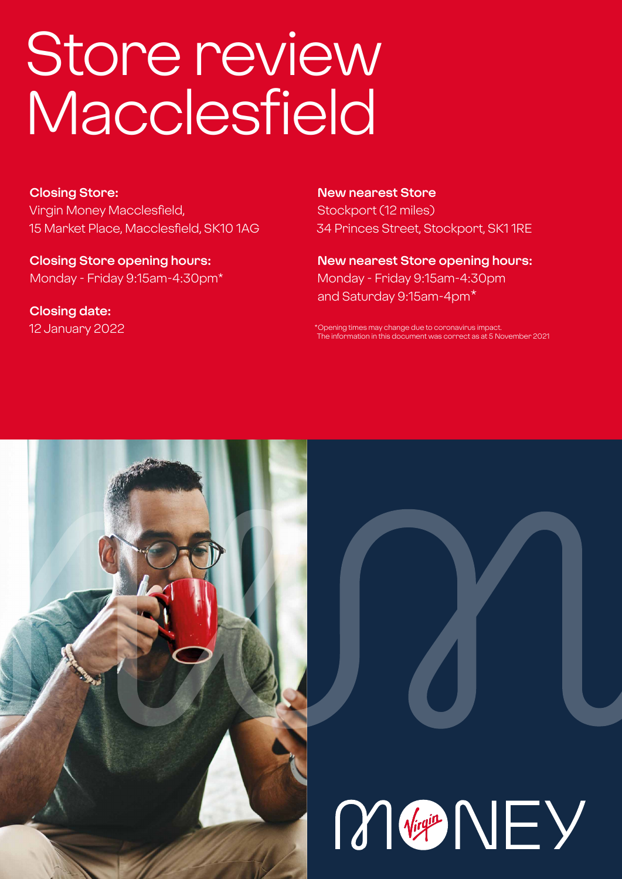# Store review Macclesfield

**Closing Store:** Virgin Money Macclesfield, 15 Market Place, Macclesfield, SK10 1AG

**Closing Store opening hours:**  Monday - Friday 9:15am-4:30pm\*

**Closing date:**  12 January 2022

**New nearest Store** Stockport (12 miles) 34 Princes Street, Stockport, SK1 1RE

**New nearest Store opening hours:** Monday - Friday 9:15am-4:30pm and Saturday 9:15am-4pm\*

\*Opening times may change due to coronavirus impact. The information in this document was correct as at 5 November 2021



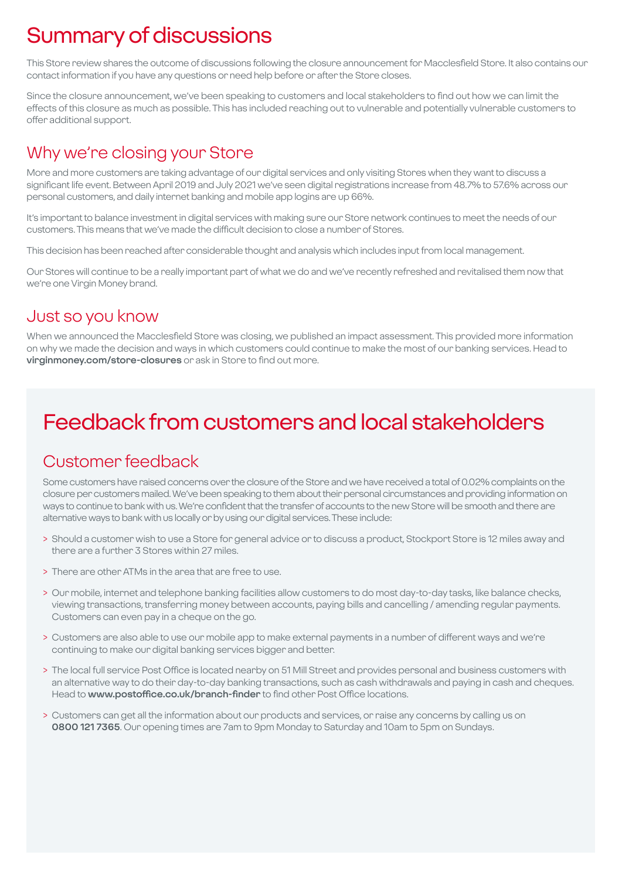# Summary of discussions

This Store review shares the outcome of discussions following the closure announcement for Macclesfield Store. It also contains our contact information if you have any questions or need help before or after the Store closes.

Since the closure announcement, we've been speaking to customers and local stakeholders to find out how we can limit the effects of this closure as much as possible. This has included reaching out to vulnerable and potentially vulnerable customers to offer additional support.

### Why we're closing your Store

More and more customers are taking advantage of our digital services and only visiting Stores when they want to discuss a significant life event. Between April 2019 and July 2021 we've seen digital registrations increase from 48.7% to 57.6% across our personal customers, and daily internet banking and mobile app logins are up 66%.

It's important to balance investment in digital services with making sure our Store network continues to meet the needs of our customers. This means that we've made the difficult decision to close a number of Stores.

This decision has been reached after considerable thought and analysis which includes input from local management.

Our Stores will continue to be a really important part of what we do and we've recently refreshed and revitalised them now that we're one Virgin Money brand.

### Just so you know

When we announced the Macclesfield Store was closing, we published an impact assessment. This provided more information on why we made the decision and ways in which customers could continue to make the most of our banking services. Head to **virginmoney.com/store-closures** or ask in Store to find out more.

# Feedback from customers and local stakeholders

### Customer feedback

Some customers have raised concerns over the closure of the Store and we have received a total of 0.02% complaints on the closure per customers mailed. We've been speaking to them about their personal circumstances and providing information on ways to continue to bank with us. We're confident that the transfer of accounts to the new Store will be smooth and there are alternative ways to bank with us locally or by using our digital services. These include:

- > Should a customer wish to use a Store for general advice or to discuss a product, Stockport Store is 12 miles away and there are a further 3 Stores within 27 miles.
- > There are other ATMs in the area that are free to use.
- > Our mobile, internet and telephone banking facilities allow customers to do most day-to-day tasks, like balance checks, viewing transactions, transferring money between accounts, paying bills and cancelling / amending regular payments. Customers can even pay in a cheque on the go.
- > Customers are also able to use our mobile app to make external payments in a number of different ways and we're continuing to make our digital banking services bigger and better.
- > The local full service Post Office is located nearby on 51 Mill Street and provides personal and business customers with an alternative way to do their day-to-day banking transactions, such as cash withdrawals and paying in cash and cheques. Head to **www.postoffice.co.uk/branch-finder** to find other Post Office locations.
- > Customers can get all the information about our products and services, or raise any concerns by calling us on **0800 121 7365**. Our opening times are 7am to 9pm Monday to Saturday and 10am to 5pm on Sundays.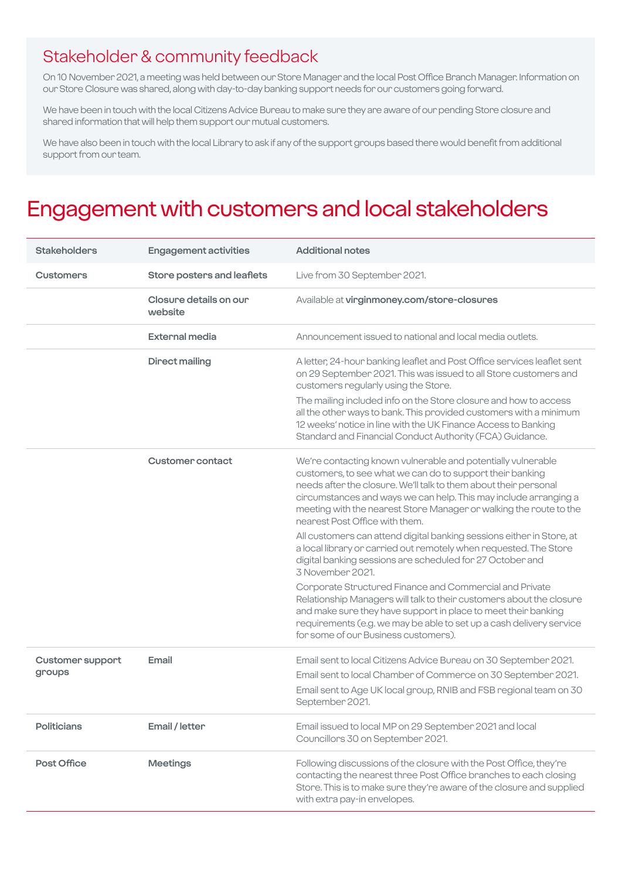### Stakeholder & community feedback

On 10 November 2021, a meeting was held between our Store Manager and the local Post Office Branch Manager. Information on our Store Closure was shared, along with day-to-day banking support needs for our customers going forward.

We have been in touch with the local Citizens Advice Bureau to make sure they are aware of our pending Store closure and shared information that will help them support our mutual customers.

We have also been in touch with the local Library to ask if any of the support groups based there would benefit from additional support from our team.

### Engagement with customers and local stakeholders

| <b>Stakeholders</b>               | <b>Engagement activities</b>      | <b>Additional notes</b>                                                                                                                                                                                                                                                                                                                                                   |
|-----------------------------------|-----------------------------------|---------------------------------------------------------------------------------------------------------------------------------------------------------------------------------------------------------------------------------------------------------------------------------------------------------------------------------------------------------------------------|
| <b>Customers</b>                  | Store posters and leaflets        | Live from 30 September 2021.                                                                                                                                                                                                                                                                                                                                              |
|                                   | Closure details on our<br>website | Available at virginmoney.com/store-closures                                                                                                                                                                                                                                                                                                                               |
|                                   | <b>External media</b>             | Announcement issued to national and local media outlets.                                                                                                                                                                                                                                                                                                                  |
|                                   | <b>Direct mailing</b>             | A letter, 24-hour banking leaflet and Post Office services leaflet sent<br>on 29 September 2021. This was issued to all Store customers and<br>customers regularly using the Store.                                                                                                                                                                                       |
|                                   |                                   | The mailing included info on the Store closure and how to access<br>all the other ways to bank. This provided customers with a minimum<br>12 weeks' notice in line with the UK Finance Access to Banking<br>Standard and Financial Conduct Authority (FCA) Guidance.                                                                                                      |
|                                   | <b>Customer contact</b>           | We're contacting known vulnerable and potentially vulnerable<br>customers, to see what we can do to support their banking<br>needs after the closure. We'll talk to them about their personal<br>circumstances and ways we can help. This may include arranging a<br>meeting with the nearest Store Manager or walking the route to the<br>nearest Post Office with them. |
|                                   |                                   | All customers can attend digital banking sessions either in Store, at<br>a local library or carried out remotely when requested. The Store<br>digital banking sessions are scheduled for 27 October and<br>3 November 2021.                                                                                                                                               |
|                                   |                                   | Corporate Structured Finance and Commercial and Private<br>Relationship Managers will talk to their customers about the closure<br>and make sure they have support in place to meet their banking<br>requirements (e.g. we may be able to set up a cash delivery service<br>for some of our Business customers).                                                          |
| <b>Customer support</b><br>groups | Email                             | Email sent to local Citizens Advice Bureau on 30 September 2021.<br>Email sent to local Chamber of Commerce on 30 September 2021.<br>Email sent to Age UK local group, RNIB and FSB regional team on 30<br>September 2021.                                                                                                                                                |
| <b>Politicians</b>                | Email / letter                    | Email issued to local MP on 29 September 2021 and local<br>Councillors 30 on September 2021.                                                                                                                                                                                                                                                                              |
| Post Office                       | <b>Meetings</b>                   | Following discussions of the closure with the Post Office, they're<br>contacting the nearest three Post Office branches to each closing<br>Store. This is to make sure they're aware of the closure and supplied<br>with extra pay-in envelopes.                                                                                                                          |